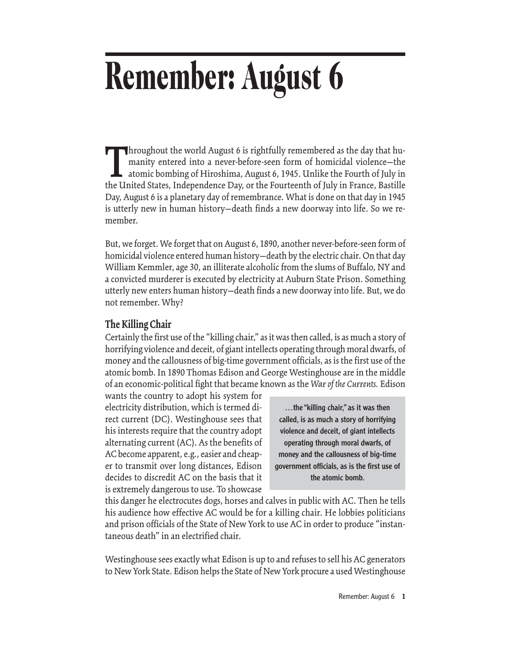# **Remember: August 6**

Interval as the world August 6 is rightfully remembered as the day that humanity entered into a never-before-seen form of homicidal violence—the atomic bombing of Hiroshima, August 6, 1945. Unlike the Fourth of July in the manity entered into a never-before-seen form of homicidal violence—the atomic bombing of Hiroshima, August 6, 1945. Unlike the Fourth of July in the United States, Independence Day, or the Fourteenth of July in France, Bastille Day, August 6 is a planetary day of remembrance. What is done on that day in 1945 is utterly new in human history—death finds a new doorway into life. So we remember.

But, we forget. We forget that on August 6, 1890, another never-before-seen form of homicidal violence entered human history—death by the electric chair. On that day William Kemmler, age 30, an illiterate alcoholic from the slums of Buffalo, NY and a convicted murderer is executed by electricity at Auburn State Prison. Something utterly new enters human history—death finds a new doorway into life. But, we do not remember. Why?

# **The Killing Chair**

Certainly the first use of the "killing chair," as it was then called, is as much a story of horrifying violence and deceit, of giant intellects operating through moral dwarfs, of money and the callousness of big-time government officials, as is the first use of the atomic bomb. In 1890 Thomas Edison and George Westinghouse are in the middle of an economic-political fight that became known as the *War of the Currents.* Edison

wants the country to adopt his system for electricity distribution, which is termed direct current (DC). Westinghouse sees that his interests require that the country adopt alternating current (AC). As the benefits of AC become apparent, e.g., easier and cheaper to transmit over long distances, Edison decides to discredit AC on the basis that it is extremely dangerous to use. To showcase

…the "killing chair," as it was then called, is as much a story of horrifying violence and deceit, of giant intellects operating through moral dwarfs, of money and the callousness of big-time government officials, as is the first use of the atomic bomb.

this danger he electrocutes dogs, horses and calves in public with AC. Then he tells his audience how effective AC would be for a killing chair. He lobbies politicians and prison officials of the State of New York to use AC in order to produce "instantaneous death" in an electrified chair.

Westinghouse sees exactly what Edison is up to and refuses to sell his AC generators to New York State. Edison helps the State of New York procure a used Westinghouse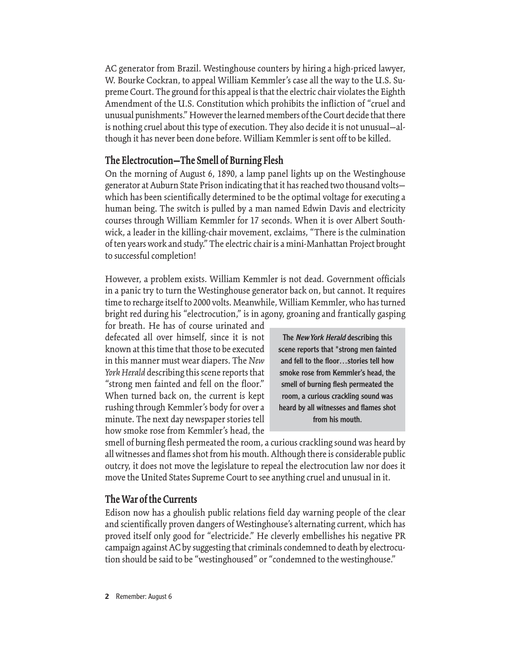AC generator from Brazil. Westinghouse counters by hiring a high-priced lawyer, W. Bourke Cockran, to appeal William Kemmler's case all the way to the U.S. Supreme Court. The ground for this appeal is that the electric chair violates the Eighth Amendment of the U.S. Constitution which prohibits the infliction of "cruel and unusual punishments." However the learned members of the Court decide that there is nothing cruel about this type of execution. They also decide it is not unusual—although it has never been done before. William Kemmler is sent off to be killed.

# **The Electrocution—The Smell of Burning Flesh**

On the morning of August 6, 1890, a lamp panel lights up on the Westinghouse generator at Auburn State Prison indicating that it has reached two thousand volts which has been scientifically determined to be the optimal voltage for executing a human being. The switch is pulled by a man named Edwin Davis and electricity courses through William Kemmler for 17 seconds. When it is over Albert Southwick, a leader in the killing-chair movement, exclaims, "There is the culmination of ten years work and study." The electric chair is a mini-Manhattan Project brought to successful completion!

However, a problem exists. William Kemmler is not dead. Government officials in a panic try to turn the Westinghouse generator back on, but cannot. It requires time to recharge itself to 2000 volts. Meanwhile, William Kemmler, who has turned bright red during his "electrocution," is in agony, groaning and frantically gasping

for breath. He has of course urinated and defecated all over himself, since it is not known at this time that those to be executed in this manner must wear diapers. The *New York Herald* describing this scene reports that "strong men fainted and fell on the floor." When turned back on, the current is kept rushing through Kemmler's body for over a minute. The next day newspaper stories tell how smoke rose from Kemmler's head, the

The New York Herald describing this scene reports that "strong men fainted and fell to the floor…stories tell how smoke rose from Kemmler's head, the smell of burning flesh permeated the room, a curious crackling sound was heard by all witnesses and flames shot from his mouth.

smell of burning flesh permeated the room, a curious crackling sound was heard by all witnesses and flames shot from his mouth. Although there is considerable public outcry, it does not move the legislature to repeal the electrocution law nor does it move the United States Supreme Court to see anything cruel and unusual in it.

#### **The War of the Currents**

Edison now has a ghoulish public relations field day warning people of the clear and scientifically proven dangers of Westinghouse's alternating current, which has proved itself only good for "electricide." He cleverly embellishes his negative PR campaign against AC by suggesting that criminals condemned to death by electrocution should be said to be "westinghoused" or "condemned to the westinghouse."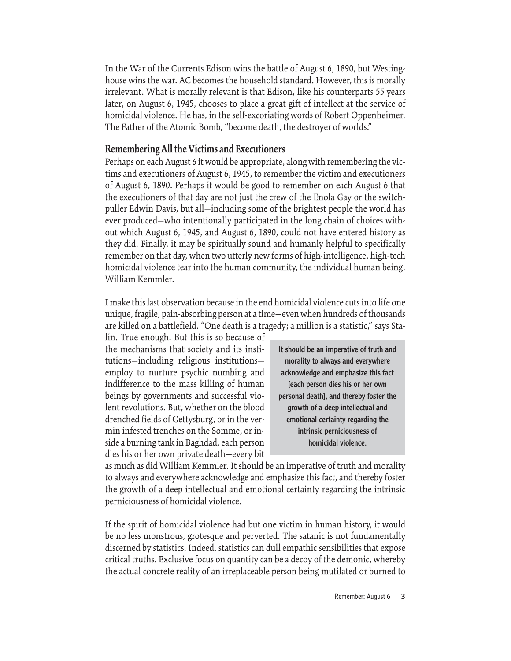In the War of the Currents Edison wins the battle of August 6, 1890, but Westinghouse wins the war. AC becomes the household standard. However, this is morally irrelevant. What is morally relevant is that Edison, like his counterparts 55 years later, on August 6, 1945, chooses to place a great gift of intellect at the service of homicidal violence. He has, in the self-excoriating words of Robert Oppenheimer, The Father of the Atomic Bomb, "become death, the destroyer of worlds."

# **Remembering All the Victims and Executioners**

Perhaps on each August 6 it would be appropriate, along with remembering the victims and executioners of August 6, 1945, to remember the victim and executioners of August 6, 1890. Perhaps it would be good to remember on each August 6 that the executioners of that day are not just the crew of the Enola Gay or the switchpuller Edwin Davis, but all—including some of the brightest people the world has ever produced—who intentionally participated in the long chain of choices without which August 6, 1945, and August 6, 1890, could not have entered history as they did. Finally, it may be spiritually sound and humanly helpful to specifically remember on that day, when two utterly new forms of high-intelligence, high-tech homicidal violence tear into the human community, the individual human being, William Kemmler.

I make this last observation because in the end homicidal violence cuts into life one unique, fragile, pain-absorbing person at a time—even when hundreds of thousands are killed on a battlefield. "One death is a tragedy; a million is a statistic," says Sta-

lin. True enough. But this is so because of the mechanisms that society and its institutions—including religious institutions employ to nurture psychic numbing and indifference to the mass killing of human beings by governments and successful violent revolutions. But, whether on the blood drenched fields of Gettysburg, or in the vermin infested trenches on the Somme, or inside a burning tank in Baghdad, each person dies his or her own private death—every bit

It should be an imperative of truth and morality to always and everywhere acknowledge and emphasize this fact [each person dies his or her own personal death], and thereby foster the growth of a deep intellectual and emotional certainty regarding the intrinsic perniciousness of homicidal violence.

as much as did William Kemmler. It should be an imperative of truth and morality to always and everywhere acknowledge and emphasize this fact, and thereby foster the growth of a deep intellectual and emotional certainty regarding the intrinsic perniciousness of homicidal violence.

If the spirit of homicidal violence had but one victim in human history, it would be no less monstrous, grotesque and perverted. The satanic is not fundamentally discerned by statistics. Indeed, statistics can dull empathic sensibilities that expose critical truths. Exclusive focus on quantity can be a decoy of the demonic, whereby the actual concrete reality of an irreplaceable person being mutilated or burned to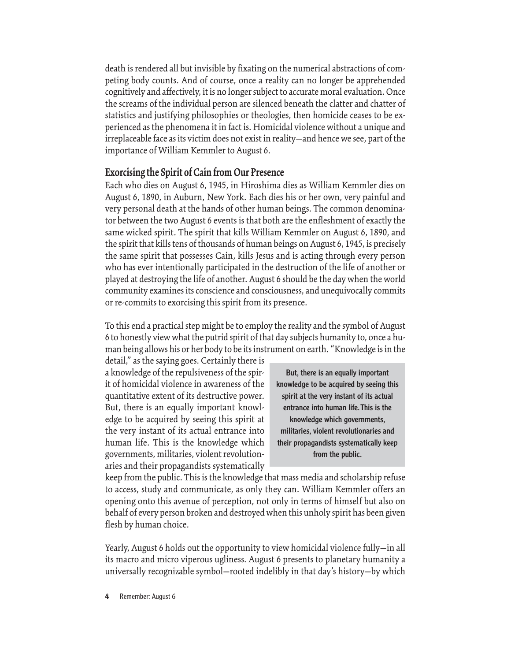death is rendered all but invisible by fixating on the numerical abstractions of competing body counts. And of course, once a reality can no longer be apprehended cognitively and affectively, it is no longer subject to accurate moral evaluation. Once the screams of the individual person are silenced beneath the clatter and chatter of statistics and justifying philosophies or theologies, then homicide ceases to be experienced as the phenomena it in fact is. Homicidal violence without a unique and irreplaceable face as its victim does not exist in reality—and hence we see, part of the importance of William Kemmler to August 6.

## **Exorcising the Spirit of Cain from Our Presence**

Each who dies on August 6, 1945, in Hiroshima dies as William Kemmler dies on August 6, 1890, in Auburn, New York. Each dies his or her own, very painful and very personal death at the hands of other human beings. The common denominator between the two August 6 events is that both are the enfleshment of exactly the same wicked spirit. The spirit that kills William Kemmler on August 6, 1890, and the spirit that kills tens of thousands of human beings on August 6, 1945, is precisely the same spirit that possesses Cain, kills Jesus and is acting through every person who has ever intentionally participated in the destruction of the life of another or played at destroying the life of another. August 6 should be the day when the world community examines its conscience and consciousness, and unequivocally commits or re-commits to exorcising this spirit from its presence.

To this end a practical step might be to employ the reality and the symbol of August 6 to honestly view what the putrid spirit of that day subjects humanity to, once a human being allows his or her body to be its instrument on earth. "Knowledge is in the

detail," as the saying goes. Certainly there is a knowledge of the repulsiveness of the spirit of homicidal violence in awareness of the quantitative extent of its destructive power. But, there is an equally important knowledge to be acquired by seeing this spirit at the very instant of its actual entrance into human life. This is the knowledge which governments, militaries, violent revolutionaries and their propagandists systematically

But, there is an equally important knowledge to be acquired by seeing this spirit at the very instant of its actual entrance into human life. This is the knowledge which governments, militaries, violent revolutionaries and their propagandists systematically keep from the public.

keep from the public. This is the knowledge that mass media and scholarship refuse to access, study and communicate, as only they can. William Kemmler offers an opening onto this avenue of perception, not only in terms of himself but also on behalf of every person broken and destroyed when this unholy spirit has been given flesh by human choice.

Yearly, August 6 holds out the opportunity to view homicidal violence fully—in all its macro and micro viperous ugliness. August 6 presents to planetary humanity a universally recognizable symbol—rooted indelibly in that day's history—by which